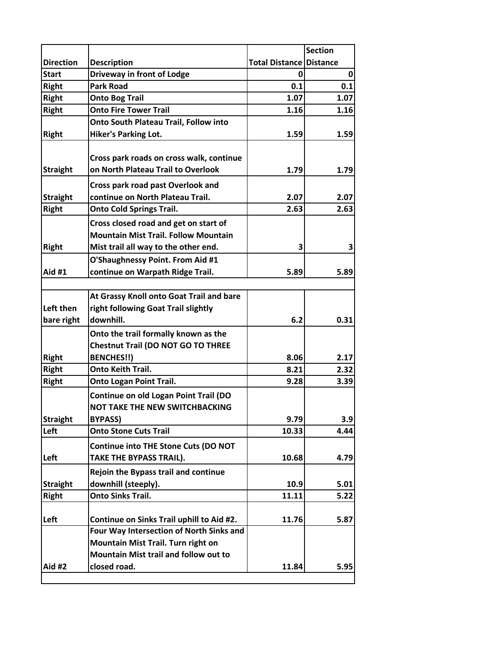|                  |                                                                                |                                | <b>Section</b> |
|------------------|--------------------------------------------------------------------------------|--------------------------------|----------------|
| <b>Direction</b> | <b>Description</b>                                                             | <b>Total Distance Distance</b> |                |
| <b>Start</b>     | Driveway in front of Lodge                                                     | 0                              | 0              |
| <b>Right</b>     | <b>Park Road</b>                                                               | 0.1                            | 0.1            |
| <b>Right</b>     | <b>Onto Bog Trail</b>                                                          | 1.07                           | 1.07           |
| <b>Right</b>     | <b>Onto Fire Tower Trail</b>                                                   | 1.16                           | 1.16           |
|                  | Onto South Plateau Trail, Follow into                                          |                                |                |
| <b>Right</b>     | <b>Hiker's Parking Lot.</b>                                                    | 1.59                           | 1.59           |
|                  |                                                                                |                                |                |
|                  | Cross park roads on cross walk, continue                                       |                                |                |
| <b>Straight</b>  | on North Plateau Trail to Overlook                                             | 1.79                           | 1.79           |
|                  | Cross park road past Overlook and                                              |                                |                |
| <b>Straight</b>  | continue on North Plateau Trail.                                               | 2.07                           | 2.07           |
| <b>Right</b>     | <b>Onto Cold Springs Trail.</b>                                                | 2.63                           | 2.63           |
|                  | Cross closed road and get on start of                                          |                                |                |
|                  | <b>Mountain Mist Trail. Follow Mountain</b>                                    |                                |                |
| <b>Right</b>     | Mist trail all way to the other end.                                           | 3                              | 3              |
|                  | O'Shaughnessy Point. From Aid #1                                               |                                |                |
| <b>Aid #1</b>    | continue on Warpath Ridge Trail.                                               | 5.89                           | 5.89           |
|                  |                                                                                |                                |                |
|                  | At Grassy Knoll onto Goat Trail and bare                                       |                                |                |
| Left then        | right following Goat Trail slightly                                            |                                |                |
| bare right       | downhill.                                                                      | 6.2                            | 0.31           |
|                  | Onto the trail formally known as the                                           |                                |                |
|                  | <b>Chestnut Trail (DO NOT GO TO THREE</b>                                      |                                |                |
| <b>Right</b>     | <b>BENCHES!!)</b>                                                              | 8.06                           | 2.17           |
| <b>Right</b>     | <b>Onto Keith Trail.</b>                                                       | 8.21                           | 2.32           |
| <b>Right</b>     | <b>Onto Logan Point Trail.</b>                                                 | 9.28                           | 3.39           |
|                  | Continue on old Logan Point Trail (DO                                          |                                |                |
|                  | NOT TAKE THE NEW SWITCHBACKING                                                 |                                |                |
| <b>Straight</b>  | <b>BYPASS)</b>                                                                 | 9.79                           | 3.9            |
| Left             | <b>Onto Stone Cuts Trail</b>                                                   | 10.33                          | 4.44           |
|                  | <b>Continue into THE Stone Cuts (DO NOT</b>                                    |                                |                |
| Left             | TAKE THE BYPASS TRAIL).                                                        |                                |                |
|                  |                                                                                | 10.68                          | 4.79           |
|                  | <b>Rejoin the Bypass trail and continue</b>                                    |                                |                |
| <b>Straight</b>  | downhill (steeply).                                                            | 10.9                           | 5.01           |
| <b>Right</b>     | <b>Onto Sinks Trail.</b>                                                       | 11.11                          | 5.22           |
|                  |                                                                                |                                |                |
| Left             | Continue on Sinks Trail uphill to Aid #2.                                      | 11.76                          | 5.87           |
|                  | Four Way Intersection of North Sinks and<br>Mountain Mist Trail. Turn right on |                                |                |
|                  | Mountain Mist trail and follow out to                                          |                                |                |
| Aid #2           | closed road.                                                                   | 11.84                          | 5.95           |
|                  |                                                                                |                                |                |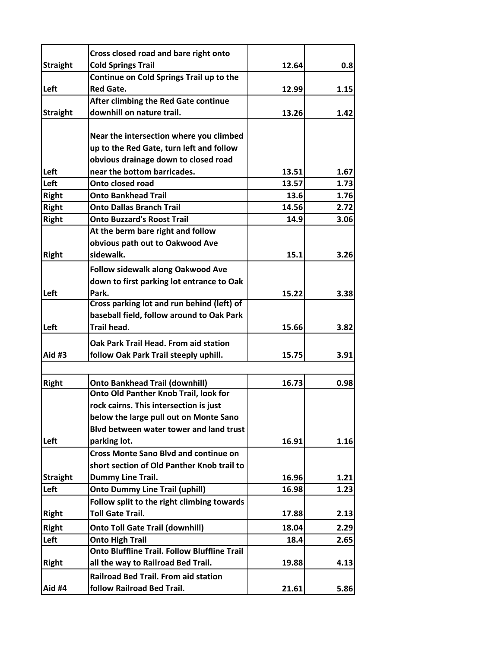|                 | Cross closed road and bare right onto               |       |      |
|-----------------|-----------------------------------------------------|-------|------|
| <b>Straight</b> | <b>Cold Springs Trail</b>                           | 12.64 | 0.8  |
|                 | Continue on Cold Springs Trail up to the            |       |      |
| Left            | <b>Red Gate.</b>                                    | 12.99 | 1.15 |
|                 | After climbing the Red Gate continue                |       |      |
| <b>Straight</b> | downhill on nature trail.                           | 13.26 | 1.42 |
|                 |                                                     |       |      |
|                 | Near the intersection where you climbed             |       |      |
|                 | up to the Red Gate, turn left and follow            |       |      |
|                 | obvious drainage down to closed road                |       |      |
| Left            | near the bottom barricades.                         | 13.51 | 1.67 |
| Left            | Onto closed road                                    | 13.57 | 1.73 |
| <b>Right</b>    | <b>Onto Bankhead Trail</b>                          | 13.6  | 1.76 |
| <b>Right</b>    | <b>Onto Dallas Branch Trail</b>                     | 14.56 | 2.72 |
| <b>Right</b>    | <b>Onto Buzzard's Roost Trail</b>                   | 14.9  | 3.06 |
|                 | At the berm bare right and follow                   |       |      |
|                 | obvious path out to Oakwood Ave                     |       |      |
| <b>Right</b>    | sidewalk.                                           | 15.1  | 3.26 |
|                 | <b>Follow sidewalk along Oakwood Ave</b>            |       |      |
|                 | down to first parking lot entrance to Oak           |       |      |
| Left            | Park.                                               | 15.22 | 3.38 |
|                 | Cross parking lot and run behind (left) of          |       |      |
|                 | baseball field, follow around to Oak Park           |       |      |
| Left            | <b>Trail head.</b>                                  | 15.66 | 3.82 |
|                 | Oak Park Trail Head. From aid station               |       |      |
| Aid #3          | follow Oak Park Trail steeply uphill.               | 15.75 | 3.91 |
|                 |                                                     |       |      |
| <b>Right</b>    | <b>Onto Bankhead Trail (downhill)</b>               | 16.73 | 0.98 |
|                 | Onto Old Panther Knob Trail, look for               |       |      |
|                 | rock cairns. This intersection is just              |       |      |
|                 | below the large pull out on Monte Sano              |       |      |
|                 | Blvd between water tower and land trust             |       |      |
| Left            | parking lot.                                        | 16.91 | 1.16 |
|                 | <b>Cross Monte Sano Blvd and continue on</b>        |       |      |
|                 | short section of Old Panther Knob trail to          |       |      |
| <b>Straight</b> | Dummy Line Trail.                                   | 16.96 | 1.21 |
| Left            | <b>Onto Dummy Line Trail (uphill)</b>               | 16.98 | 1.23 |
|                 | Follow split to the right climbing towards          |       |      |
| <b>Right</b>    | <b>Toll Gate Trail.</b>                             | 17.88 | 2.13 |
| Right           | <b>Onto Toll Gate Trail (downhill)</b>              | 18.04 | 2.29 |
| Left            | <b>Onto High Trail</b>                              | 18.4  | 2.65 |
|                 | <b>Onto Bluffline Trail. Follow Bluffline Trail</b> |       |      |
| <b>Right</b>    | all the way to Railroad Bed Trail.                  | 19.88 | 4.13 |
|                 | <b>Railroad Bed Trail. From aid station</b>         |       |      |
| Aid #4          | follow Railroad Bed Trail.                          | 21.61 | 5.86 |
|                 |                                                     |       |      |